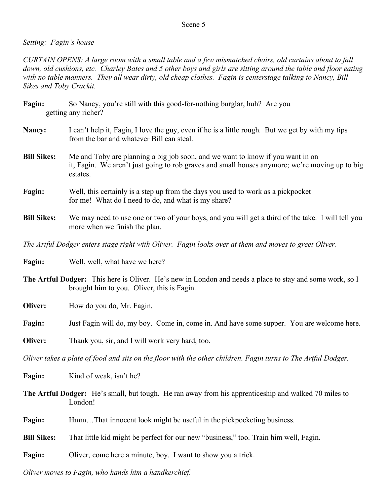## Scene 5

## *Setting: Fagin's house*

*CURTAIN OPENS: A large room with a small table and a few mismatched chairs, old curtains about to fall down, old cushions, etc. Charley Bates and 5 other boys and girls are sitting around the table and floor eating with no table manners. They all wear dirty, old cheap clothes. Fagin is centerstage talking to Nancy, Bill Sikes and Toby Crackit.*

| Fagin: | So Nancy, you're still with this good-for-nothing burglar, huh? Are you |  |  |
|--------|-------------------------------------------------------------------------|--|--|
|        | getting any richer?                                                     |  |  |

- **Nancy:** I can't help it, Fagin, I love the guy, even if he is a little rough. But we get by with my tips from the bar and whatever Bill can steal.
- **Bill Sikes:** Me and Toby are planning a big job soon, and we want to know if you want in on it, Fagin. We aren't just going to rob graves and small houses anymore; we're moving up to big estates.
- **Fagin:** Well, this certainly is a step up from the days you used to work as a pickpocket for me! What do I need to do, and what is my share?
- **Bill Sikes:** We may need to use one or two of your boys, and you will get a third of the take. I will tell you more when we finish the plan.

*The Artful Dodger enters stage right with Oliver. Fagin looks over at them and moves to greet Oliver.*

**Fagin:** Well, well, what have we here?

**The Artful Dodger:** This here is Oliver. He's new in London and needs a place to stay and some work, so I brought him to you. Oliver, this is Fagin.

**Oliver:** How do you do, Mr. Fagin.

**Fagin:** Just Fagin will do, my boy. Come in, come in. And have some supper. You are welcome here.

**Oliver:** Thank you, sir, and I will work very hard, too.

Oliver takes a plate of food and sits on the floor with the other children. Fagin turns to The Artful Dodger.

Fagin: Kind of weak, isn't he?

**The Artful Dodger:** He's small, but tough. He ran away from his apprenticeship and walked 70 miles to London!

**Fagin:** Hmm...That innocent look might be useful in the pickpocketing business.

**Bill Sikes:** That little kid might be perfect for our new "business," too. Train him well, Fagin.

**Fagin:** Oliver, come here a minute, boy. I want to show you a trick.

*Oliver moves to Fagin, who hands him a handkerchief.*